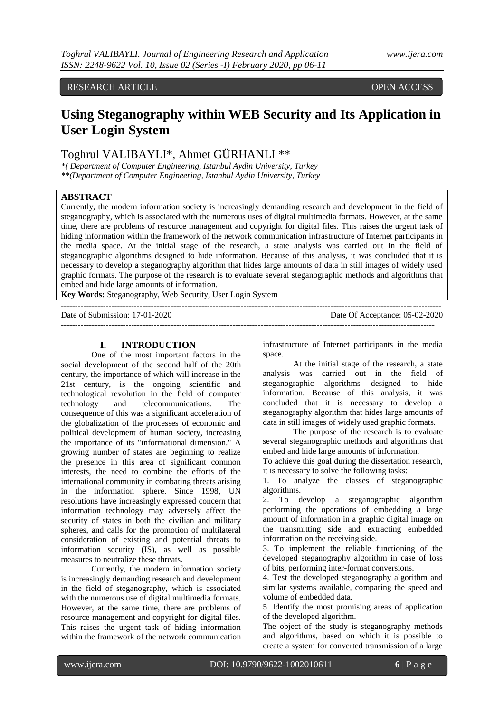### RESEARCH ARTICLE **OPEN ACCESS**

## **Using Steganography within WEB Security and Its Application in User Login System**

## Toghrul VALIBAYLI\*, Ahmet GÜRHANLI \*\*

*\*( Department of Computer Engineering, Istanbul Aydin University, Turkey \*\*(Department of Computer Engineering, Istanbul Aydin University, Turkey*

#### **ABSTRACT**

Currently, the modern information society is increasingly demanding research and development in the field of steganography, which is associated with the numerous uses of digital multimedia formats. However, at the same time, there are problems of resource management and copyright for digital files. This raises the urgent task of hiding information within the framework of the network communication infrastructure of Internet participants in the media space. At the initial stage of the research, a state analysis was carried out in the field of steganographic algorithms designed to hide information. Because of this analysis, it was concluded that it is necessary to develop a steganography algorithm that hides large amounts of data in still images of widely used graphic formats. The purpose of the research is to evaluate several steganographic methods and algorithms that embed and hide large amounts of information.

---------------------------------------------------------------------------------------------------------------------------------------

-------------------------------------------------------------------------------------------------------------------------------------

**Key Words:** Steganography, Web Security, User Login System

Date of Submission: 17-01-2020 Date Of Acceptance: 05-02-2020

#### **I. INTRODUCTION**

One of the most important factors in the social development of the second half of the 20th century, the importance of which will increase in the 21st century, is the ongoing scientific and technological revolution in the field of computer technology and telecommunications. The consequence of this was a significant acceleration of the globalization of the processes of economic and political development of human society, increasing the importance of its "informational dimension." A growing number of states are beginning to realize the presence in this area of significant common interests, the need to combine the efforts of the international community in combating threats arising in the information sphere. Since 1998, UN resolutions have increasingly expressed concern that information technology may adversely affect the security of states in both the civilian and military spheres, and calls for the promotion of multilateral consideration of existing and potential threats to information security (IS), as well as possible measures to neutralize these threats.

Currently, the modern information society is increasingly demanding research and development in the field of steganography, which is associated with the numerous use of digital multimedia formats. However, at the same time, there are problems of resource management and copyright for digital files. This raises the urgent task of hiding information within the framework of the network communication

infrastructure of Internet participants in the media space.

At the initial stage of the research, a state analysis was carried out in the field of steganographic algorithms designed to hide information. Because of this analysis, it was concluded that it is necessary to develop a steganography algorithm that hides large amounts of data in still images of widely used graphic formats.

The purpose of the research is to evaluate several steganographic methods and algorithms that embed and hide large amounts of information.

To achieve this goal during the dissertation research, it is necessary to solve the following tasks:

1. To analyze the classes of steganographic algorithms.

2. To develop a steganographic algorithm performing the operations of embedding a large amount of information in a graphic digital image on the transmitting side and extracting embedded information on the receiving side.

3. To implement the reliable functioning of the developed steganography algorithm in case of loss of bits, performing inter-format conversions.

4. Test the developed steganography algorithm and similar systems available, comparing the speed and volume of embedded data.

5. Identify the most promising areas of application of the developed algorithm.

The object of the study is steganography methods and algorithms, based on which it is possible to create a system for converted transmission of a large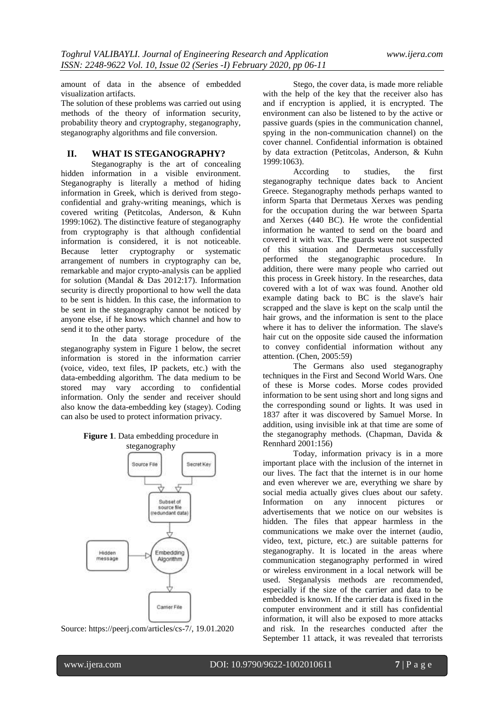amount of data in the absence of embedded visualization artifacts.

The solution of these problems was carried out using methods of the theory of information security, probability theory and cryptography, steganography, steganography algorithms and file conversion.

#### **II. WHAT IS STEGANOGRAPHY?**

Steganography is the art of concealing hidden information in a visible environment. Steganography is literally a method of hiding information in Greek, which is derived from stegoconfidential and grahy-writing meanings, which is covered writing (Petitcolas, Anderson, & Kuhn 1999:1062). The distinctive feature of steganography from cryptography is that although confidential information is considered, it is not noticeable. Because letter cryptography or systematic arrangement of numbers in cryptography can be, remarkable and major crypto-analysis can be applied for solution (Mandal & Das 2012:17). Information security is directly proportional to how well the data to be sent is hidden. In this case, the information to be sent in the steganography cannot be noticed by anyone else, if he knows which channel and how to send it to the other party.

In the data storage procedure of the steganography system in Figure 1 below, the secret information is stored in the information carrier (voice, video, text files, IP packets, etc.) with the data-embedding algorithm. The data medium to be stored may vary according to confidential information. Only the sender and receiver should also know the data-embedding key (stagey). Coding can also be used to protect information privacy.

**Figure 1**. Data embedding procedure in



Source: https://peerj.com/articles/cs-7/, 19.01.2020

Stego, the cover data, is made more reliable with the help of the key that the receiver also has and if encryption is applied, it is encrypted. The environment can also be listened to by the active or passive guards (spies in the communication channel, spying in the non-communication channel) on the cover channel. Confidential information is obtained by data extraction (Petitcolas, Anderson, & Kuhn 1999:1063).

According to studies, the first steganography technique dates back to Ancient Greece. Steganography methods perhaps wanted to inform Sparta that Dermetaus Xerxes was pending for the occupation during the war between Sparta and Xerxes (440 BC). He wrote the confidential information he wanted to send on the board and covered it with wax. The guards were not suspected of this situation and Dermetaus successfully performed the steganographic procedure. In addition, there were many people who carried out this process in Greek history. In the researches, data covered with a lot of wax was found. Another old example dating back to BC is the slave's hair scrapped and the slave is kept on the scalp until the hair grows, and the information is sent to the place where it has to deliver the information. The slave's hair cut on the opposite side caused the information to convey confidential information without any attention. (Chen, 2005:59)

The Germans also used steganography techniques in the First and Second World Wars. One of these is Morse codes. Morse codes provided information to be sent using short and long signs and the corresponding sound or lights. It was used in 1837 after it was discovered by Samuel Morse. In addition, using invisible ink at that time are some of the steganography methods. (Chapman, Davida & Rennhard 2001:156)

Today, information privacy is in a more important place with the inclusion of the internet in our lives. The fact that the internet is in our home and even wherever we are, everything we share by social media actually gives clues about our safety. Information on any innocent pictures or advertisements that we notice on our websites is hidden. The files that appear harmless in the communications we make over the internet (audio, video, text, picture, etc.) are suitable patterns for steganography. It is located in the areas where communication steganography performed in wired or wireless environment in a local network will be used. Steganalysis methods are recommended, especially if the size of the carrier and data to be embedded is known. If the carrier data is fixed in the computer environment and it still has confidential information, it will also be exposed to more attacks and risk. In the researches conducted after the September 11 attack, it was revealed that terrorists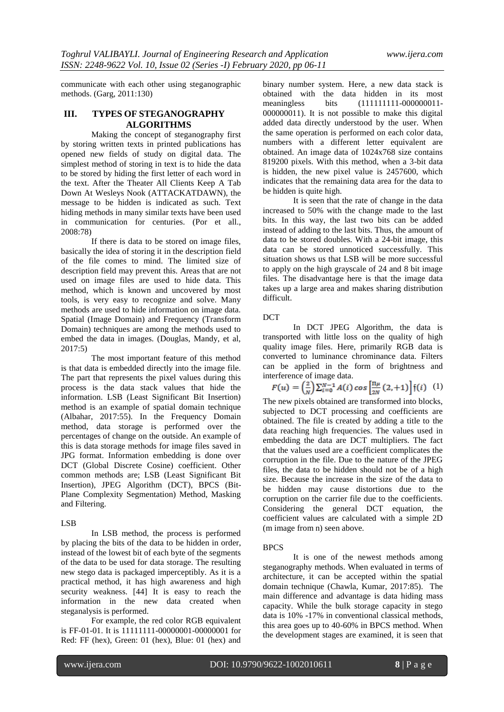communicate with each other using steganographic methods. (Garg, 2011:130)

#### **III. TYPES OF STEGANOGRAPHY ALGORITHMS**

Making the concept of steganography first by storing written texts in printed publications has opened new fields of study on digital data. The simplest method of storing in text is to hide the data to be stored by hiding the first letter of each word in the text. After the Theater All Clients Keep A Tab Down At Wesleys Nook (ATTACKATDAWN), the message to be hidden is indicated as such. Text hiding methods in many similar texts have been used in communication for centuries. (Por et all., 2008:78)

If there is data to be stored on image files, basically the idea of storing it in the description field of the file comes to mind. The limited size of description field may prevent this. Areas that are not used on image files are used to hide data. This method, which is known and uncovered by most tools, is very easy to recognize and solve. Many methods are used to hide information on image data. Spatial (Image Domain) and Frequency (Transform Domain) techniques are among the methods used to embed the data in images. (Douglas, Mandy, et al, 2017:5)

The most important feature of this method is that data is embedded directly into the image file. The part that represents the pixel values during this process is the data stack values that hide the information. LSB (Least Significant Bit Insertion) method is an example of spatial domain technique (Albahar, 2017:55). In the Frequency Domain method, data storage is performed over the percentages of change on the outside. An example of this is data storage methods for image files saved in JPG format. Information embedding is done over DCT (Global Discrete Cosine) coefficient. Other common methods are; LSB (Least Significant Bit Insertion), JPEG Algorithm (DCT), BPCS (Bit-Plane Complexity Segmentation) Method, Masking and Filtering.

#### LSB

In LSB method, the process is performed by placing the bits of the data to be hidden in order, instead of the lowest bit of each byte of the segments of the data to be used for data storage. The resulting new stego data is packaged imperceptibly. As it is a practical method, it has high awareness and high security weakness. [44] It is easy to reach the information in the new data created when steganalysis is performed.

For example, the red color RGB equivalent is FF-01-01. It is 11111111-00000001-00000001 for Red: FF (hex), Green: 01 (hex), Blue: 01 (hex) and

binary number system. Here, a new data stack is obtained with the data hidden in its most meaningless bits (111111111-000000011-000000011). It is not possible to make this digital added data directly understood by the user. When the same operation is performed on each color data, numbers with a different letter equivalent are obtained. An image data of 1024x768 size contains 819200 pixels. With this method, when a 3-bit data is hidden, the new pixel value is 2457600, which indicates that the remaining data area for the data to be hidden is quite high.

It is seen that the rate of change in the data increased to 50% with the change made to the last bits. In this way, the last two bits can be added instead of adding to the last bits. Thus, the amount of data to be stored doubles. With a 24-bit image, this data can be stored unnoticed successfully. This situation shows us that LSB will be more successful to apply on the high grayscale of 24 and 8 bit image files. The disadvantage here is that the image data takes up a large area and makes sharing distribution difficult.

#### DCT

In DCT JPEG Algorithm, the data is transported with little loss on the quality of high quality image files. Here, primarily RGB data is converted to luminance chrominance data. Filters can be applied in the form of brightness and interference of image data.

# $(1)$

The new pixels obtained are transformed into blocks, subjected to DCT processing and coefficients are obtained. The file is created by adding a title to the data reaching high frequencies. The values used in embedding the data are DCT multipliers. The fact that the values used are a coefficient complicates the corruption in the file. Due to the nature of the JPEG files, the data to be hidden should not be of a high size. Because the increase in the size of the data to be hidden may cause distortions due to the corruption on the carrier file due to the coefficients. Considering the general DCT equation, the coefficient values are calculated with a simple 2D (m image from n) seen above.

#### BPCS

It is one of the newest methods among steganography methods. When evaluated in terms of architecture, it can be accepted within the spatial domain technique (Chawla, Kumar, 2017:85). The main difference and advantage is data hiding mass capacity. While the bulk storage capacity in stego data is 10% -17% in conventional classical methods, this area goes up to 40-60% in BPCS method. When the development stages are examined, it is seen that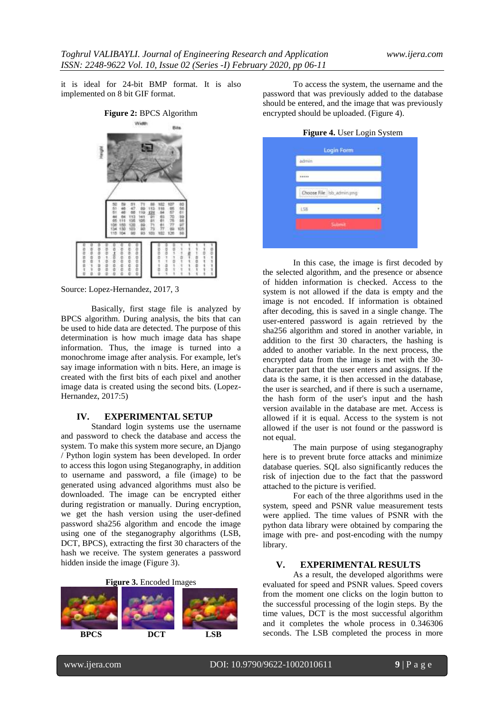it is ideal for 24-bit BMP format. It is also implemented on 8 bit GIF format.



Source: Lopez-Hernandez, 2017, 3

Basically, first stage file is analyzed by BPCS algorithm. During analysis, the bits that can be used to hide data are detected. The purpose of this determination is how much image data has shape information. Thus, the image is turned into a monochrome image after analysis. For example, let's say image information with n bits. Here, an image is created with the first bits of each pixel and another image data is created using the second bits. (Lopez-Hernandez, 2017:5)

#### **IV. EXPERIMENTAL SETUP**

Standard login systems use the username and password to check the database and access the system. To make this system more secure, an Django / Python login system has been developed. In order to access this logon using Steganography, in addition to username and password, a file (image) to be generated using advanced algorithms must also be downloaded. The image can be encrypted either during registration or manually. During encryption, we get the hash version using the user-defined password sha256 algorithm and encode the image using one of the steganography algorithms (LSB, DCT, BPCS), extracting the first 30 characters of the hash we receive. The system generates a password hidden inside the image (Figure 3).

**Figure 3.** Encoded Images



To access the system, the username and the password that was previously added to the database should be entered, and the image that was previously encrypted should be uploaded. (Figure 4).

**Figure 4.** User Login System

| admin                       |  |
|-----------------------------|--|
| <b>Service</b>              |  |
| Choose File   lsb_admin.png |  |
| 158                         |  |
| Submit                      |  |

In this case, the image is first decoded by the selected algorithm, and the presence or absence of hidden information is checked. Access to the system is not allowed if the data is empty and the image is not encoded. If information is obtained after decoding, this is saved in a single change. The user-entered password is again retrieved by the sha256 algorithm and stored in another variable, in addition to the first 30 characters, the hashing is added to another variable. In the next process, the encrypted data from the image is met with the 30 character part that the user enters and assigns. If the data is the same, it is then accessed in the database, the user is searched, and if there is such a username, the hash form of the user's input and the hash version available in the database are met. Access is allowed if it is equal. Access to the system is not allowed if the user is not found or the password is not equal.

The main purpose of using steganography here is to prevent brute force attacks and minimize database queries. SQL also significantly reduces the risk of injection due to the fact that the password attached to the picture is verified.

For each of the three algorithms used in the system, speed and PSNR value measurement tests were applied. The time values of PSNR with the python data library were obtained by comparing the image with pre- and post-encoding with the numpy library.

#### **V. EXPERIMENTAL RESULTS**

As a result, the developed algorithms were evaluated for speed and PSNR values. Speed covers from the moment one clicks on the login button to the successful processing of the login steps. By the time values, DCT is the most successful algorithm and it completes the whole process in 0.346306 seconds. The LSB completed the process in more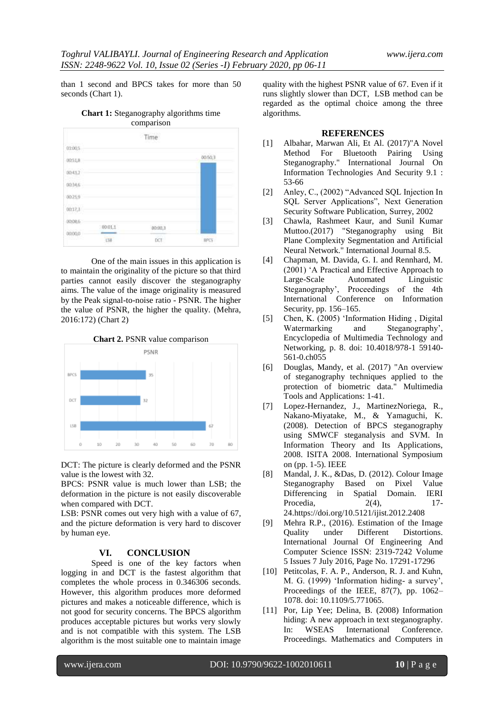than 1 second and BPCS takes for more than 50 seconds (Chart 1).

**Chart 1:** Steganography algorithms time comparison



One of the main issues in this application is to maintain the originality of the picture so that third parties cannot easily discover the steganography aims. The value of the image originality is measured by the Peak signal-to-noise ratio - PSNR. The higher the value of PSNR, the higher the quality. (Mehra, 2016:172) (Chart 2)





DCT: The picture is clearly deformed and the PSNR value is the lowest with 32.

BPCS: PSNR value is much lower than LSB; the deformation in the picture is not easily discoverable when compared with DCT.

LSB: PSNR comes out very high with a value of 67, and the picture deformation is very hard to discover by human eye.

#### **VI. CONCLUSION**

Speed is one of the key factors when logging in and DCT is the fastest algorithm that completes the whole process in 0.346306 seconds. However, this algorithm produces more deformed pictures and makes a noticeable difference, which is not good for security concerns. The BPCS algorithm produces acceptable pictures but works very slowly and is not compatible with this system. The LSB algorithm is the most suitable one to maintain image

quality with the highest PSNR value of 67. Even if it runs slightly slower than DCT, LSB method can be regarded as the optimal choice among the three algorithms.

#### **REFERENCES**

- [1] Albahar, Marwan Ali, Et Al. (2017)"A Novel Method For Bluetooth Pairing Using Steganography." International Journal On Information Technologies And Security 9.1 : 53-66
- [2] Anley, C., (2002) "Advanced SQL Injection In SQL Server Applications", Next Generation Security Software Publication, Surrey, 2002
- [3] Chawla, Rashmeet Kaur, and Sunil Kumar Muttoo.(2017) "Steganography using Bit Plane Complexity Segmentation and Artificial Neural Network." International Journal 8.5.
- [4] Chapman, M. Davida, G. I. and Rennhard, M. (2001) "A Practical and Effective Approach to Large-Scale Automated Linguistic Steganography", Proceedings of the 4th International Conference on Information Security, pp. 156–165.
- [5] Chen, K. (2005) 'Information Hiding, Digital<br>Watermarking and Steganography', and Steganography', Encyclopedia of Multimedia Technology and Networking, p. 8. doi: 10.4018/978-1 59140- 561-0.ch055
- [6] Douglas, Mandy, et al. (2017) "An overview of steganography techniques applied to the protection of biometric data." Multimedia Tools and Applications: 1-41.
- [7] Lopez-Hernandez, J., MartinezNoriega, R., Nakano-Miyatake, M., & Yamaguchi, K. (2008). Detection of BPCS steganography using SMWCF steganalysis and SVM. In Information Theory and Its Applications, 2008. ISITA 2008. International Symposium on (pp. 1-5). IEEE
- [8] Mandal, J. K., &Das, D. (2012). Colour Image Steganography Based on Pixel Value Differencing in Spatial Domain. IERI Procedia, 2(4), 17-24.https://doi.org/10.5121/ijist.2012.2408
- [9] Mehra R.P., (2016). Estimation of the Image Quality under Different Distortions. International Journal Of Engineering And Computer Science ISSN: 2319-7242 Volume 5 Issues 7 July 2016, Page No. 17291-17296
- [10] Petitcolas, F. A. P., Anderson, R. J. and Kuhn, M. G. (1999) "Information hiding- a survey", Proceedings of the IEEE, 87(7), pp. 1062– 1078. doi: 10.1109/5.771065.
- [11] Por, Lip Yee; Delina, B. (2008) Information hiding: A new approach in text steganography. In: WSEAS International Conference. Proceedings. Mathematics and Computers in